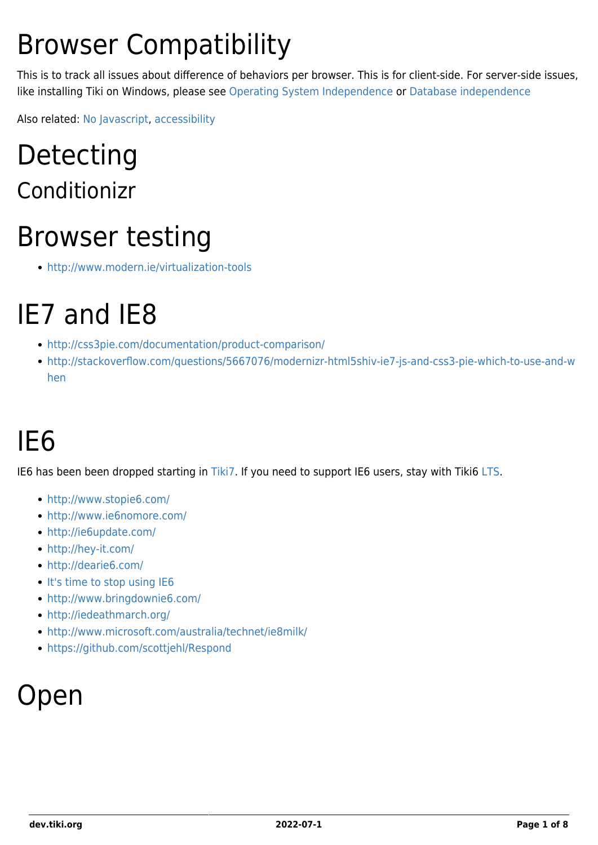# Browser Compatibility

This is to track all issues about difference of behaviors per browser. This is for client-side. For server-side issues, like installing Tiki on Windows, please see [Operating System Independence](https://dev.tiki.org/Operating-System-independence) or [Database independence](https://dev.tiki.org/Database-independence)

Also related: [No Javascript,](https://dev.tiki.org/No-Javascript) [accessibility](https://dev.tiki.org/Accessibility)

### Detecting Conditionizr

### Browser testing

<http://www.modern.ie/virtualization-tools>

### IE7 and IE8

- <http://css3pie.com/documentation/product-comparison/>
- [http://stackoverflow.com/questions/5667076/modernizr-html5shiv-ie7-js-and-css3-pie-which-to-use-and-w](http://stackoverflow.com/questions/5667076/modernizr-html5shiv-ie7-js-and-css3-pie-which-to-use-and-when) [hen](http://stackoverflow.com/questions/5667076/modernizr-html5shiv-ie7-js-and-css3-pie-which-to-use-and-when)

# IE6

IE6 has been been dropped starting in [Tiki7.](https://dev.tiki.org/Tiki7) If you need to support IE6 users, stay with Tiki6 [LTS](https://dev.tiki.org/LTS).

- <http://www.stopie6.com/>
- <http://www.ie6nomore.com/>
- <http://ie6update.com/>
- <http://hey-it.com/>
- <http://dearie6.com/>
- [It's time to stop using IE6](http://blogs.zdnet.com/Bott/?p=1645)
- <http://www.bringdownie6.com/>
- <http://iedeathmarch.org/>
- <http://www.microsoft.com/australia/technet/ie8milk/>
- <https://github.com/scottjehl/Respond>

### Open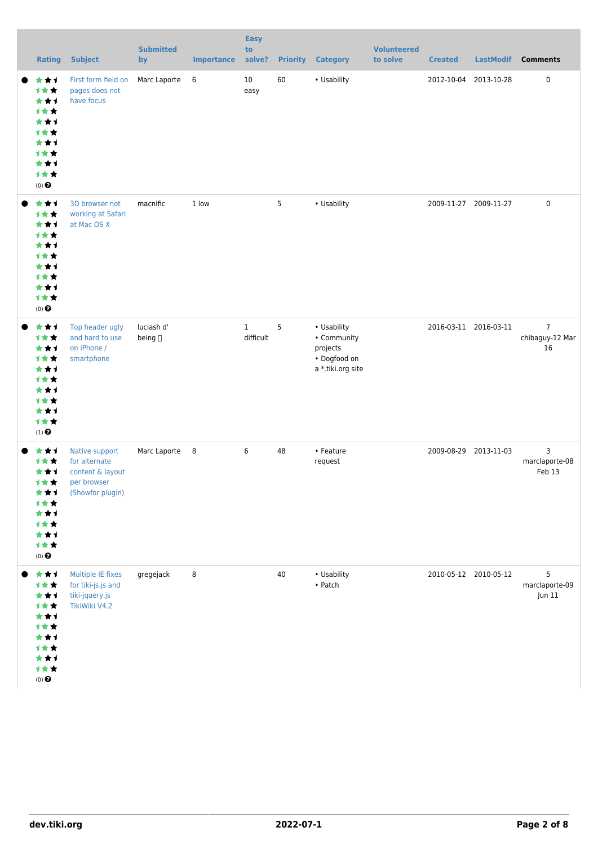| <b>Rating</b>                                                                                                        | <b>Subject</b>                                                                         | <b>Submitted</b><br>by | <b>Importance</b> | <b>Easy</b><br>to<br>solve? | <b>Priority</b> | <b>Category</b>                                                             | <b>Volunteered</b><br>to solve | <b>Created</b>        | <b>LastModif</b>      | <b>Comments</b>                         |
|----------------------------------------------------------------------------------------------------------------------|----------------------------------------------------------------------------------------|------------------------|-------------------|-----------------------------|-----------------|-----------------------------------------------------------------------------|--------------------------------|-----------------------|-----------------------|-----------------------------------------|
| ***<br>1★★<br>***<br>1★★<br>***<br>计女女<br>***<br><b>1**</b><br>***<br>计女女<br>$(0)$<br>$\pmb{\Theta}$                 | First form field on<br>pages does not<br>have focus                                    | Marc Laporte           | 6                 | 10<br>easy                  | 60              | • Usability                                                                 |                                |                       | 2012-10-04 2013-10-28 | 0                                       |
| ***<br>1★★<br>***<br>1★★<br>***<br><b>1**</b><br>***<br>计女女<br>***<br>1★★<br>$(0)$ $\odot$                           | 3D browser not<br>working at Safari<br>at Mac OS X                                     | macnific               | 1 low             |                             | $5\overline{)}$ | • Usability                                                                 |                                |                       | 2009-11-27 2009-11-27 | $\pmb{0}$                               |
| ***<br>***<br>***<br><b>1**</b><br>***<br><b>1**</b><br>***<br>1★★<br>***<br>1★★<br>$(1)$<br>$\pmb{\Theta}$          | Top header ugly<br>and hard to use<br>on iPhone /<br>smartphone                        | luciash d'<br>being [] |                   | $\mathbf{1}$<br>difficult   | 5               | • Usability<br>• Community<br>projects<br>• Dogfood on<br>a *.tiki.org site |                                | 2016-03-11 2016-03-11 |                       | $\overline{7}$<br>chibaguy-12 Mar<br>16 |
| ***<br><b>1**</b><br>***<br><b>1**</b><br>***<br>计女女<br>***<br>1★★<br>***<br>1女女<br>$(\mathbf{0})$<br>$\pmb{\Theta}$ | Native support<br>for alternate<br>content & layout<br>per browser<br>(Showfor plugin) | Marc Laporte           | $_{8}$            | 6                           | 48              | • Feature<br>request                                                        |                                |                       | 2009-08-29 2013-11-03 | 3<br>marclaporte-08<br>Feb 13           |
| ***<br>1女女<br>***<br>1★★<br>***<br>1女女<br>***<br>计女女<br>***<br>计女女<br>$(0)$<br>$\pmb{\Theta}$                        | Multiple IE fixes<br>for tiki-js.js and<br>tiki-jquery.js<br>TikiWiki V4.2             | gregejack              | 8                 |                             | 40              | • Usability<br>$\bullet$ Patch                                              |                                |                       | 2010-05-12 2010-05-12 | 5<br>marclaporte-09<br>Jun 11           |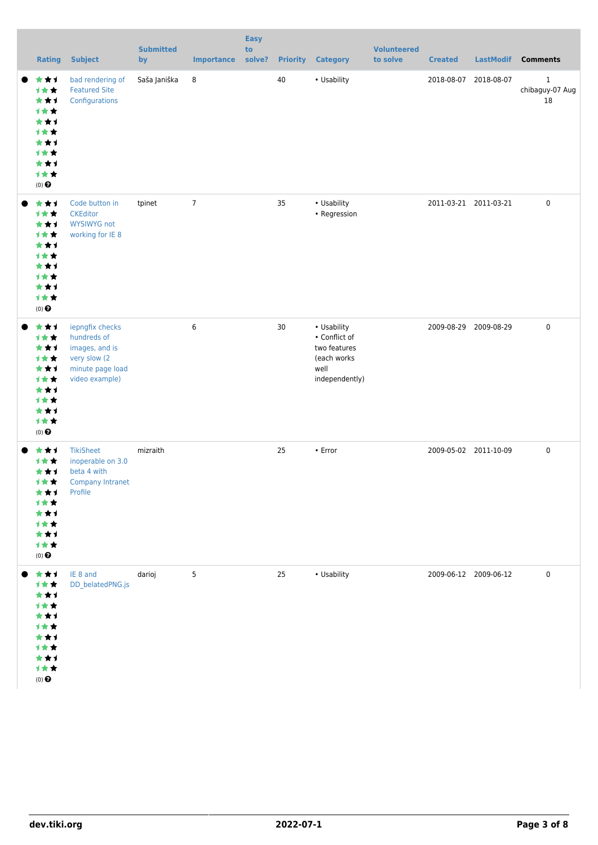| <b>Rating</b>                                                                                               | <b>Subject</b>                                                                                         | <b>Submitted</b><br>by | <b>Importance</b> | <b>Easy</b><br>to<br>solve? | <b>Priority</b> | <b>Category</b>                                                                       | <b>Volunteered</b><br>to solve | <b>Created</b>        | <b>LastModif</b>      | <b>Comments</b>                       |
|-------------------------------------------------------------------------------------------------------------|--------------------------------------------------------------------------------------------------------|------------------------|-------------------|-----------------------------|-----------------|---------------------------------------------------------------------------------------|--------------------------------|-----------------------|-----------------------|---------------------------------------|
| ***<br>1★★<br>***<br><b>1**</b><br>***<br>1★★<br>***<br>1★★<br>***<br>1★★<br>$(0)$<br>$\pmb{\Theta}$        | bad rendering of<br><b>Featured Site</b><br>Configurations                                             | Saša Janiška           | 8                 |                             | 40              | • Usability                                                                           |                                | 2018-08-07            | 2018-08-07            | $\mathbf{1}$<br>chibaguy-07 Aug<br>18 |
| ***<br>1★★<br>***<br>1★★<br>***<br>1★★<br>***<br>1★★<br>***<br>1女女<br>$(0)$ $\Theta$                        | Code button in<br><b>CKEditor</b><br><b>WYSIWYG not</b><br>working for IE 8                            | tpinet                 | $\overline{7}$    |                             | 35              | • Usability<br>• Regression                                                           |                                |                       | 2011-03-21 2011-03-21 | 0                                     |
| ***<br>1★★<br>***<br>1★★<br>***<br>1★★<br>***<br>1★★<br>***<br>1女女<br>$(0)$<br>$\pmb{\Theta}$               | iepngfix checks<br>hundreds of<br>images, and is<br>very slow (2<br>minute page load<br>video example) |                        | 6                 |                             | 30              | • Usability<br>• Conflict of<br>two features<br>(each works<br>well<br>independently) |                                |                       | 2009-08-29 2009-08-29 | $\pmb{0}$                             |
| ***<br><b>1**</b><br>***<br><b>1**</b><br>***<br>计女女<br>***<br>计女女<br>***<br>1★★<br>$(0)$<br>$\pmb{\Theta}$ | <b>TikiSheet</b><br>inoperable on 3.0<br>beta 4 with<br><b>Company Intranet</b><br>Profile             | mizraith               |                   |                             | 25              | $\cdot$ Error                                                                         |                                | 2009-05-02 2011-10-09 |                       | 0                                     |
| ***<br>计女女<br>***<br>计女女<br>***<br>计女女<br>***<br>计女女<br>***<br>计女女<br>$(0)$<br>$\pmb{\Theta}$               | IE 8 and<br>DD_belatedPNG.js                                                                           | darioj                 | 5                 |                             | 25              | • Usability                                                                           |                                |                       | 2009-06-12 2009-06-12 | $\pmb{0}$                             |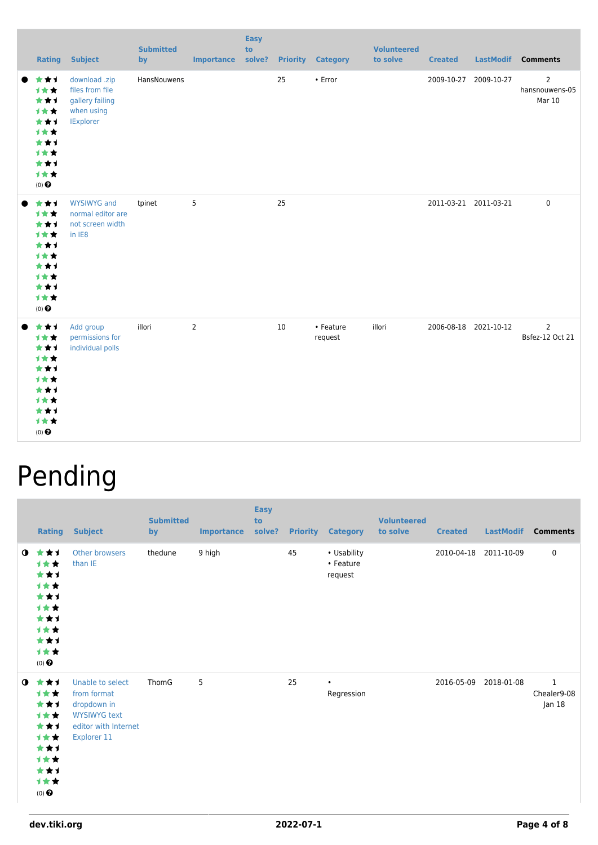| <b>Rating</b>                                                                            | <b>Subject</b>                                                                        | <b>Submitted</b><br>by | <b>Importance</b> | <b>Easy</b><br>to<br>solve? |    | <b>Priority Category</b> | <b>Volunteered</b><br>to solve | <b>Created</b> |                       | LastModif Comments                         |
|------------------------------------------------------------------------------------------|---------------------------------------------------------------------------------------|------------------------|-------------------|-----------------------------|----|--------------------------|--------------------------------|----------------|-----------------------|--------------------------------------------|
| ***<br>***<br>***<br>1★★<br>***<br>计女女<br>***<br>计女女<br>***<br>计女女<br>(0) $\pmb{\Theta}$ | download .zip<br>files from file<br>gallery failing<br>when using<br><b>IExplorer</b> | HansNouwens            |                   |                             | 25 | • Error                  |                                | 2009-10-27     | 2009-10-27            | $\overline{2}$<br>hansnouwens-05<br>Mar 10 |
| ***<br>计女女<br>***<br>***<br>***<br>1**<br>***<br>计女女<br>***<br>计女女<br>$(0)$ $\odot$      | <b>WYSIWYG</b> and<br>normal editor are<br>not screen width<br>in IE8                 | tpinet                 | 5                 |                             | 25 |                          |                                |                | 2011-03-21 2011-03-21 | 0                                          |
| ***<br>计女女<br>***<br>计女女<br>***<br>1★★<br>***<br>1★★<br>***<br>计女女<br>$(0)$ $\odot$      | Add group<br>permissions for<br>individual polls                                      | illori                 | $\overline{2}$    |                             | 10 | • Feature<br>request     | illori                         |                | 2006-08-18 2021-10-12 | 2<br>Bsfez-12 Oct 21                       |

# Pending

|              | Rating                                                                              | <b>Subject</b>                                                                                               | <b>Submitted</b><br>by | <b>Importance</b> | <b>Easy</b><br>to<br>solve? | <b>Priority</b> | <b>Category</b>                     | <b>Volunteered</b><br>to solve | <b>Created</b>        | <b>LastModif</b> | <b>Comments</b>                      |
|--------------|-------------------------------------------------------------------------------------|--------------------------------------------------------------------------------------------------------------|------------------------|-------------------|-----------------------------|-----------------|-------------------------------------|--------------------------------|-----------------------|------------------|--------------------------------------|
| $\mathbf{0}$ | ***<br>计女女<br>***<br>计女女<br>***<br>计女女<br>***<br>计女女<br>***<br>计女女<br>$(0)$ $\odot$ | Other browsers<br>than IE                                                                                    | thedune                | 9 high            |                             | 45              | • Usability<br>• Feature<br>request |                                | 2010-04-18 2011-10-09 |                  | 0                                    |
| $\bullet$    | ***<br>计女女<br>***<br>计女女<br>***<br>计女女<br>***<br>计女女<br>***<br>计女女<br>$(0)$ $\odot$ | Unable to select<br>from format<br>dropdown in<br><b>WYSIWYG text</b><br>editor with Internet<br>Explorer 11 | ThomG                  | 5                 |                             | 25              | $\bullet$<br>Regression             |                                | 2016-05-09            | 2018-01-08       | $\mathbf 1$<br>Chealer9-08<br>Jan 18 |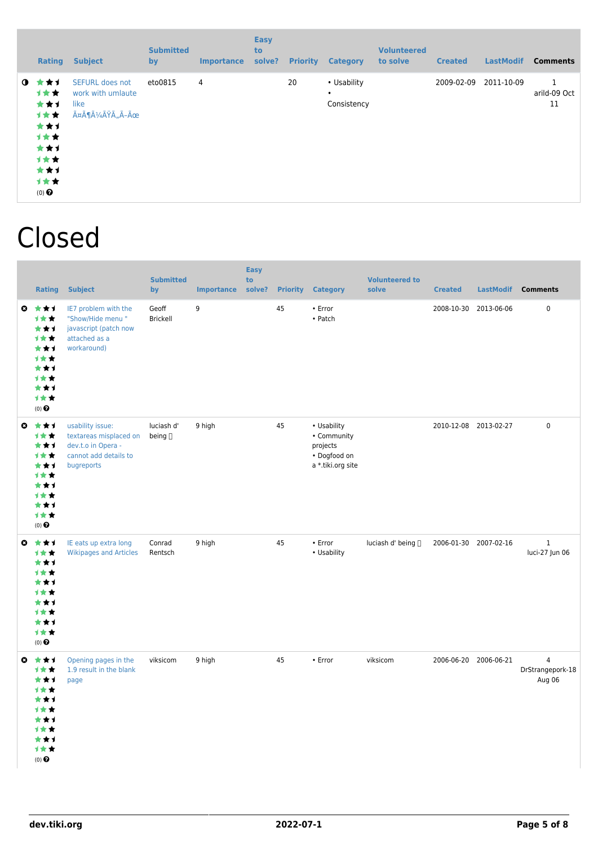|             | Rating                                                                              | <b>Subject</b>                                                  | <b>Submitted</b><br>by | <b>Importance</b> | <b>Easy</b><br><b>to</b><br>solve? | <b>Priority</b> | <b>Category</b>                         | <b>Volunteered</b><br>to solve | <b>Created</b> | <b>LastModif</b> | <b>Comments</b>         |
|-------------|-------------------------------------------------------------------------------------|-----------------------------------------------------------------|------------------------|-------------------|------------------------------------|-----------------|-----------------------------------------|--------------------------------|----------------|------------------|-------------------------|
| $\mathbf o$ | ***<br>1★★<br>***<br>1★★<br>***<br>计女女<br>***<br>计女女<br>***<br>计女女<br>$(0)$ $\odot$ | <b>SEFURL does not</b><br>work with umlaute<br>like<br>äöüßÄÃ-Ü | eto0815                | 4                 |                                    | 20              | • Usability<br>$\bullet$<br>Consistency |                                | 2009-02-09     | 2011-10-09       | 1<br>arild-09 Oct<br>11 |

### Closed

|           | <b>Rating</b>                                                                              | <b>Subject</b>                                                                                          | <b>Submitted</b><br>by       | <b>Importance</b> | <b>Easy</b><br>to<br>solve? | <b>Priority</b> | <b>Category</b>                                                             | <b>Volunteered to</b><br>solve | <b>Created</b> | LastModif             | <b>Comments</b>                              |
|-----------|--------------------------------------------------------------------------------------------|---------------------------------------------------------------------------------------------------------|------------------------------|-------------------|-----------------------------|-----------------|-----------------------------------------------------------------------------|--------------------------------|----------------|-----------------------|----------------------------------------------|
| $\bullet$ | ***<br>计女女<br>***<br>1★★<br>***<br>计女女<br>***<br>1★★<br>***<br>计女女<br>$(0)$ $\odot$        | IE7 problem with the<br>"Show/Hide menu"<br>javascript (patch now<br>attached as a<br>workaround)       | Geoff<br>Brickell            | 9                 |                             | 45              | • Error<br>• Patch                                                          |                                | 2008-10-30     | 2013-06-06            | $\pmb{0}$                                    |
| O         | ***<br>计女女<br>***<br>1★★<br>***<br>计女女<br>***<br>计女女<br>***<br>计女女<br>$(0)$ $\odot$        | usability issue:<br>textareas misplaced on<br>dev.t.o in Opera -<br>cannot add details to<br>bugreports | luciash d'<br>being $\sqcap$ | 9 high            |                             | 45              | • Usability<br>• Community<br>projects<br>• Dogfood on<br>a *.tiki.org site |                                |                | 2010-12-08 2013-02-27 | $\pmb{0}$                                    |
| $\bullet$ | ***<br>1★★<br>***<br>计女女<br>***<br><b>1**</b><br>***<br>计女女<br>***<br>1★★<br>$(0)$ $\odot$ | IE eats up extra long<br><b>Wikipages and Articles</b>                                                  | Conrad<br>Rentsch            | 9 high            |                             | 45              | • Error<br>• Usability                                                      | luciash d' being ∏             |                | 2006-01-30 2007-02-16 | $\mathbf{1}$<br>luci-27 Jun 06               |
| $\bullet$ | ***<br>计女女<br>***<br>计女女<br>***<br>计女女<br>***<br>计女女<br>***<br>1★★<br>$(0)$ $\odot$        | Opening pages in the<br>1.9 result in the blank<br>page                                                 | viksicom                     | 9 high            |                             | 45              | $\cdot$ Error                                                               | viksicom                       |                | 2006-06-20 2006-06-21 | $\overline{4}$<br>DrStrangepork-18<br>Aug 06 |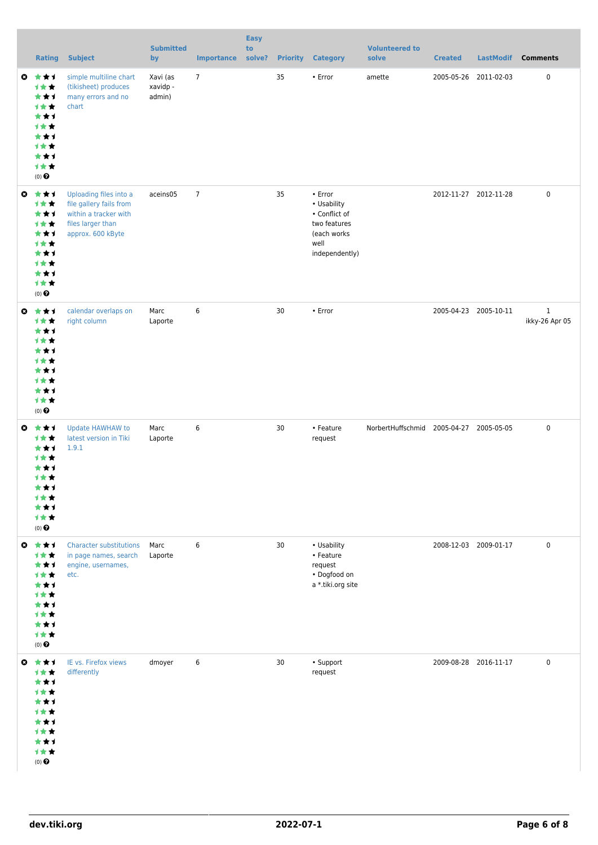|           | <b>Rating</b>                                                                                                | <b>Subject</b>                                                                                                       | <b>Submitted</b><br>by         | <b>Importance</b> | <b>Easy</b><br>to<br>solve? | <b>Priority</b> | <b>Category</b>                                                                                  | <b>Volunteered to</b><br>solve          | <b>Created</b>        |                       | LastModif Comments             |
|-----------|--------------------------------------------------------------------------------------------------------------|----------------------------------------------------------------------------------------------------------------------|--------------------------------|-------------------|-----------------------------|-----------------|--------------------------------------------------------------------------------------------------|-----------------------------------------|-----------------------|-----------------------|--------------------------------|
|           | ◎ ★★1<br>计女女<br>***<br>1★★<br>***<br>计女女<br>***<br>计女女<br>***<br>计女女<br>$(0)$ $\odot$                        | simple multiline chart<br>(tikisheet) produces<br>many errors and no<br>chart                                        | Xavi (as<br>xavidp -<br>admin) | $\overline{7}$    |                             | 35              | • Error                                                                                          | amette                                  | 2005-05-26 2011-02-03 |                       | 0                              |
| $\bullet$ | 大女子<br>计女女<br>***<br>计女女<br>***<br>计女女<br>***<br>1女女<br>***<br>计女女<br>$(0)$ $\Theta$                         | Uploading files into a<br>file gallery fails from<br>within a tracker with<br>files larger than<br>approx. 600 kByte | aceins05                       | $\overline{7}$    |                             | 35              | • Error<br>• Usability<br>• Conflict of<br>two features<br>(each works<br>well<br>independently) |                                         | 2012-11-27 2012-11-28 |                       | $\pmb{0}$                      |
|           | ◎ ★★1<br>计女女<br>***<br>计女女<br>***<br>计女女<br>***<br>计女女<br>***<br>计女女<br>$(0)$ $\odot$                        | calendar overlaps on<br>right column                                                                                 | Marc<br>Laporte                | 6                 |                             | 30              | • Error                                                                                          |                                         |                       | 2005-04-23 2005-10-11 | $\mathbf{1}$<br>ikky-26 Apr 05 |
|           | $0 \star \star \star$<br>计女女<br>***<br>计女女<br>***<br>计女女<br>***<br><b>1**</b><br>***<br>计女女<br>$(0)$ $\odot$ | Update HAWHAW to<br>latest version in Tiki<br>1.9.1                                                                  | Marc<br>Laporte                | 6                 |                             | 30              | • Feature<br>request                                                                             | NorbertHuffschmid 2005-04-27 2005-05-05 |                       |                       | 0                              |
|           | ◎ ★★1<br>计女女<br>***<br>1★★<br>***<br>计女女<br>***<br>1★★<br>***<br>1★★<br>$(0)$ $\odot$                        | <b>Character substitutions</b><br>in page names, search<br>engine, usernames,<br>etc.                                | Marc<br>Laporte                | 6                 |                             | 30              | • Usability<br>• Feature<br>request<br>• Dogfood on<br>a *.tiki.org site                         |                                         | 2008-12-03 2009-01-17 |                       | $\pmb{0}$                      |
|           | ◎ ★★1<br>计女女<br>***<br>1★★<br>***<br>计女女<br>***<br>计女女<br>***<br>1★★<br>$(0)$ $\odot$                        | IE vs. Firefox views<br>differently                                                                                  | dmoyer                         | 6                 |                             | 30              | • Support<br>request                                                                             |                                         | 2009-08-28 2016-11-17 |                       | $\pmb{0}$                      |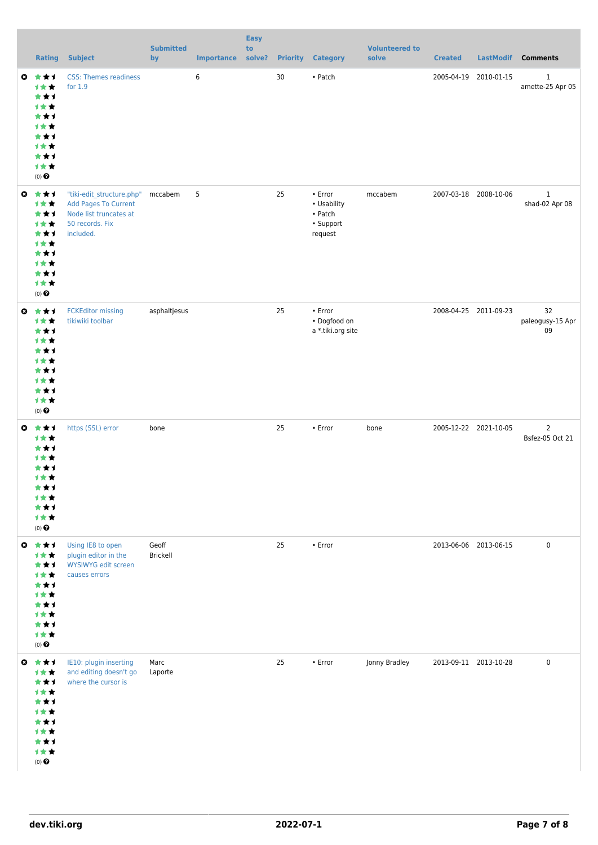| <b>Rating</b>                                                                                         | <b>Subject</b>                                                                                                     | <b>Submitted</b><br>by | Importance solve? | <b>Easy</b><br>to |    | <b>Priority Category</b>                                        | <b>Volunteered to</b><br>solve | <b>Created</b>        |                       | LastModif Comments               |
|-------------------------------------------------------------------------------------------------------|--------------------------------------------------------------------------------------------------------------------|------------------------|-------------------|-------------------|----|-----------------------------------------------------------------|--------------------------------|-----------------------|-----------------------|----------------------------------|
| ◎ ★★1<br>计女女<br>***<br>计女女<br>***<br>计女女<br>***<br>计女女<br>***<br>计女女<br>$(0)$ $\odot$                 | <b>CSS: Themes readiness</b><br>for $1.9$                                                                          |                        | 6                 |                   | 30 | • Patch                                                         |                                |                       | 2005-04-19 2010-01-15 | $\mathbf{1}$<br>amette-25 Apr 05 |
| $0 \star \star \star$<br>计女女<br>***<br>计女女<br>***<br>计女女<br>***<br>计女女<br>***<br>计女女<br>$(0)$ $\odot$ | "tiki-edit_structure.php"<br><b>Add Pages To Current</b><br>Node list truncates at<br>50 records. Fix<br>included. | mccabem                | 5                 |                   | 25 | $\cdot$ Error<br>• Usability<br>• Patch<br>• Support<br>request | mccabem                        |                       | 2007-03-18 2008-10-06 | $\mathbf 1$<br>shad-02 Apr 08    |
| ◎ ★★1<br>计女女<br>***<br>计女女<br>***<br>计女女<br>***<br>计女女<br>***<br>计女女<br>$(0)$ $\odot$                 | <b>FCKEditor missing</b><br>tikiwiki toolbar                                                                       | asphaltjesus           |                   |                   | 25 | • Error<br>• Dogfood on<br>a *.tiki.org site                    |                                |                       | 2008-04-25 2011-09-23 | 32<br>paleogusy-15 Apr<br>09     |
| ◎ ★★1<br>计女女<br>***<br>计女女<br>***<br>计女女<br>***<br>计女女<br>***<br>计女女<br>$(0)$ $\bigodot$              | https (SSL) error                                                                                                  | bone                   |                   |                   | 25 | • Error                                                         | bone                           | 2005-12-22 2021-10-05 |                       | $\mathsf 2$<br>Bsfez-05 Oct 21   |
| ◎ ★★1<br>计女女<br>***<br>1★★<br>***<br>计女女<br>***<br>计女女<br>***<br>计女女<br>$(0)$<br>$\pmb{\Theta}$       | Using IE8 to open<br>plugin editor in the<br><b>WYSIWYG edit screen</b><br>causes errors                           | Geoff<br>Brickell      |                   |                   | 25 | • Error                                                         |                                |                       | 2013-06-06 2013-06-15 | $\pmb{0}$                        |
| ◎ ★★1<br>计女女<br>***<br>计女女<br>***<br>计女女<br>***<br>计女女<br>***<br>计女女<br>$(0)$ $\odot$                 | IE10: plugin inserting<br>and editing doesn't go<br>where the cursor is                                            | Marc<br>Laporte        |                   |                   | 25 | • Error                                                         | Jonny Bradley                  |                       | 2013-09-11 2013-10-28 | $\pmb{0}$                        |